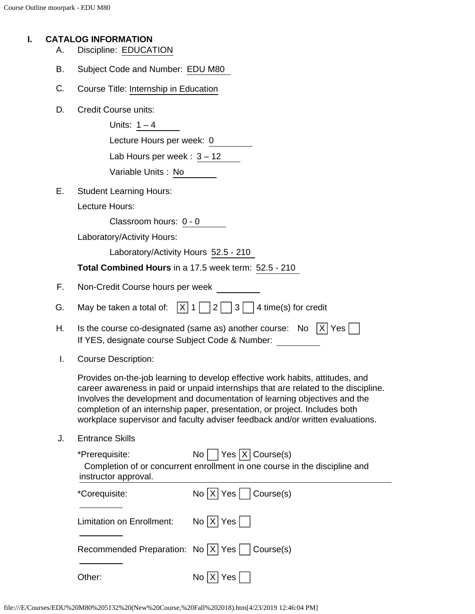#### **I. CATALOG INFORMATION**

- A. Discipline: EDUCATION
- B. Subject Code and Number: EDU M80
- C. Course Title: Internship in Education
- D. Credit Course units:

Units:  $1 - 4$ Lecture Hours per week: 0 Lab Hours per week :  $3 - 12$ 

| Variable Units: No |
|--------------------|
|--------------------|

E. Student Learning Hours:

Lecture Hours:

Classroom hours: 0 - 0

Laboratory/Activity Hours:

Laboratory/Activity Hours 52.5 - 210

**Total Combined Hours** in a 17.5 week term: 52.5 - 210

- F. Non-Credit Course hours per week
- G. May be taken a total of:  $\overline{X}$  1  $\overline{2}$  3  $\overline{3}$  4 time(s) for credit
- H. Is the course co-designated (same as) another course: No  $|X|$  Yes  $|$ If YES, designate course Subject Code & Number:
- I. Course Description:

Provides on-the-job learning to develop effective work habits, attitudes, and career awareness in paid or unpaid internships that are related to the discipline. Involves the development and documentation of learning objectives and the completion of an internship paper, presentation, or project. Includes both workplace supervisor and faculty adviser feedback and/or written evaluations.

J. Entrance Skills

| *Prerequisite:       | $\text{No}$   Yes   X   Course(s)                                          |
|----------------------|----------------------------------------------------------------------------|
|                      | Completion of or concurrent enrollment in one course in the discipline and |
| instructor approval. |                                                                            |
| *Corequisite:        |                                                                            |

| ooroguiono.                                       | 110  N  100   1000000000  |
|---------------------------------------------------|---------------------------|
| Limitation on Enrollment:                         | $\text{No}$ $ X $ Yes $ $ |
| Recommended Preparation: No   X   Yes   Course(s) |                           |
| Other:                                            | No $ X $ Yes $ \neg $     |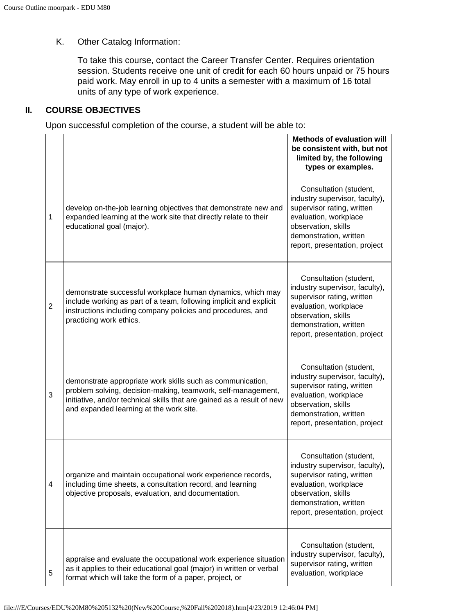## K. Other Catalog Information:

To take this course, contact the Career Transfer Center. Requires orientation session. Students receive one unit of credit for each 60 hours unpaid or 75 hours paid work. May enroll in up to 4 units a semester with a maximum of 16 total units of any type of work experience.

### **II. COURSE OBJECTIVES**

Upon successful completion of the course, a student will be able to:

|                |                                                                                                                                                                                                                                                 | <b>Methods of evaluation will</b><br>be consistent with, but not<br>limited by, the following<br>types or examples.                                                                               |
|----------------|-------------------------------------------------------------------------------------------------------------------------------------------------------------------------------------------------------------------------------------------------|---------------------------------------------------------------------------------------------------------------------------------------------------------------------------------------------------|
| 1              | develop on-the-job learning objectives that demonstrate new and<br>expanded learning at the work site that directly relate to their<br>educational goal (major).                                                                                | Consultation (student,<br>industry supervisor, faculty),<br>supervisor rating, written<br>evaluation, workplace<br>observation, skills<br>demonstration, written<br>report, presentation, project |
| $\overline{2}$ | demonstrate successful workplace human dynamics, which may<br>include working as part of a team, following implicit and explicit<br>instructions including company policies and procedures, and<br>practicing work ethics.                      | Consultation (student,<br>industry supervisor, faculty),<br>supervisor rating, written<br>evaluation, workplace<br>observation, skills<br>demonstration, written<br>report, presentation, project |
| 3              | demonstrate appropriate work skills such as communication,<br>problem solving, decision-making, teamwork, self-management,<br>initiative, and/or technical skills that are gained as a result of new<br>and expanded learning at the work site. | Consultation (student,<br>industry supervisor, faculty),<br>supervisor rating, written<br>evaluation, workplace<br>observation, skills<br>demonstration, written<br>report, presentation, project |
| 4              | organize and maintain occupational work experience records,<br>including time sheets, a consultation record, and learning<br>objective proposals, evaluation, and documentation.                                                                | Consultation (student,<br>industry supervisor, faculty),<br>supervisor rating, written<br>evaluation, workplace<br>observation, skills<br>demonstration, written<br>report, presentation, project |
| 5              | appraise and evaluate the occupational work experience situation<br>as it applies to their educational goal (major) in written or verbal<br>format which will take the form of a paper, project, or                                             | Consultation (student,<br>industry supervisor, faculty),<br>supervisor rating, written<br>evaluation, workplace                                                                                   |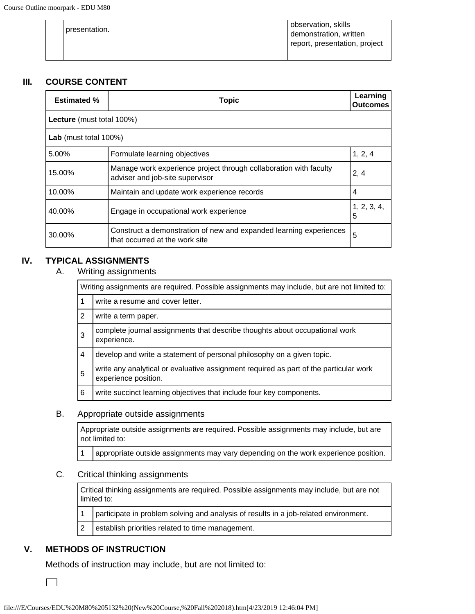| presentation. | observation, skills<br>demonstration, written<br>report, presentation, project |
|---------------|--------------------------------------------------------------------------------|
|---------------|--------------------------------------------------------------------------------|

## **III. COURSE CONTENT**

| <b>Estimated %</b>               | <b>Topic</b>                                                                                                 |                  |  |
|----------------------------------|--------------------------------------------------------------------------------------------------------------|------------------|--|
| <b>Lecture</b> (must total 100%) |                                                                                                              |                  |  |
| Lab (must total 100%)            |                                                                                                              |                  |  |
| 5.00%                            | Formulate learning objectives                                                                                | 1, 2, 4          |  |
| 15.00%                           | Manage work experience project through collaboration with faculty<br>2, 4<br>adviser and job-site supervisor |                  |  |
| 10.00%                           | Maintain and update work experience records                                                                  | 4                |  |
| 40.00%                           | Engage in occupational work experience                                                                       | 1, 2, 3, 4,<br>5 |  |
| 30.00%                           | Construct a demonstration of new and expanded learning experiences<br>that occurred at the work site         | 5                |  |

## **IV. TYPICAL ASSIGNMENTS**

A. Writing assignments

|                | Writing assignments are required. Possible assignments may include, but are not limited to:                   |  |  |  |  |  |
|----------------|---------------------------------------------------------------------------------------------------------------|--|--|--|--|--|
| 1              | write a resume and cover letter.                                                                              |  |  |  |  |  |
| $\overline{2}$ | write a term paper.                                                                                           |  |  |  |  |  |
| 3              | complete journal assignments that describe thoughts about occupational work<br>experience.                    |  |  |  |  |  |
| 4              | develop and write a statement of personal philosophy on a given topic.                                        |  |  |  |  |  |
| 5              | write any analytical or evaluative assignment required as part of the particular work<br>experience position. |  |  |  |  |  |
| 6              | write succinct learning objectives that include four key components.                                          |  |  |  |  |  |

## B. Appropriate outside assignments

Appropriate outside assignments are required. Possible assignments may include, but are not limited to:

1 appropriate outside assignments may vary depending on the work experience position.

#### C. Critical thinking assignments

Critical thinking assignments are required. Possible assignments may include, but are not limited to:

1 | participate in problem solving and analysis of results in a job-related environment.

2 establish priorities related to time management.

## **V. METHODS OF INSTRUCTION**

Methods of instruction may include, but are not limited to:

 $\Box$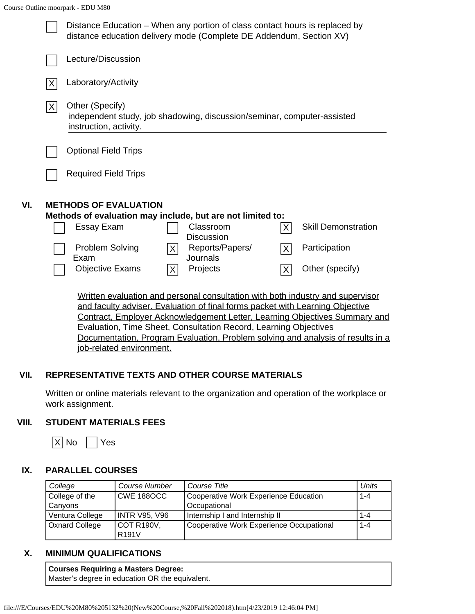|     |                | Distance Education – When any portion of class contact hours is replaced by<br>distance education delivery mode (Complete DE Addendum, Section XV) |                                                                                                                 |                                    |                |                            |  |
|-----|----------------|----------------------------------------------------------------------------------------------------------------------------------------------------|-----------------------------------------------------------------------------------------------------------------|------------------------------------|----------------|----------------------------|--|
|     |                | Lecture/Discussion                                                                                                                                 |                                                                                                                 |                                    |                |                            |  |
|     | $ \mathsf{X} $ | Laboratory/Activity                                                                                                                                |                                                                                                                 |                                    |                |                            |  |
|     | $ \mathsf{X} $ | Other (Specify)<br>independent study, job shadowing, discussion/seminar, computer-assisted<br>instruction, activity.                               |                                                                                                                 |                                    |                |                            |  |
|     |                | <b>Optional Field Trips</b>                                                                                                                        |                                                                                                                 |                                    |                |                            |  |
|     |                | <b>Required Field Trips</b>                                                                                                                        |                                                                                                                 |                                    |                |                            |  |
| VI. |                | <b>METHODS OF EVALUATION</b><br>Methods of evaluation may include, but are not limited to:                                                         |                                                                                                                 |                                    |                |                            |  |
|     |                | Essay Exam                                                                                                                                         |                                                                                                                 | Classroom<br><b>Discussion</b>     | X              | <b>Skill Demonstration</b> |  |
|     |                | Problem Solving<br>Exam                                                                                                                            | $ \mathsf{X} $                                                                                                  | Reports/Papers/<br>Journals        | $ \mathsf{X} $ | Participation              |  |
|     |                | <b>Objective Exams</b>                                                                                                                             | $ \mathsf{X} $                                                                                                  | Projects                           | X              | Other (specify)            |  |
|     |                | Written evaluation and personal consultation with both industry and supervisor                                                                     | and the state of the state of the state of the state of the state of the state of the state of the state of the | $\sim$ $\sim$ $\sim$ $\sim$ $\sim$ |                |                            |  |

and faculty adviser. Evaluation of final forms packet with Learning Objective Contract, Employer Acknowledgement Letter, Learning Objectives Summary and Evaluation, Time Sheet, Consultation Record, Learning Objectives Documentation, Program Evaluation, Problem solving and analysis of results in a job-related environment.

# **VII. REPRESENTATIVE TEXTS AND OTHER COURSE MATERIALS**

Written or online materials relevant to the organization and operation of the workplace or work assignment.

## **VIII. STUDENT MATERIALS FEES**

 $|X|$  No  $|Y$ es

# **IX. PARALLEL COURSES**

| College               | <b>Course Number</b> | Course Title                                     | Units |
|-----------------------|----------------------|--------------------------------------------------|-------|
| College of the        | CWE 1880CC           | Cooperative Work Experience Education<br>$1 - 4$ |       |
| Canyons               |                      | Occupational                                     |       |
| Ventura College       | <b>INTR V95, V96</b> | Internship I and Internship II                   | 1-4   |
| <b>Oxnard College</b> | COT R190V,           | Cooperative Work Experience Occupational         | 1-4   |
|                       | R <sub>191</sub> V   |                                                  |       |

# **X. MINIMUM QUALIFICATIONS**

## **Courses Requiring a Masters Degree:**

Master's degree in education OR the equivalent.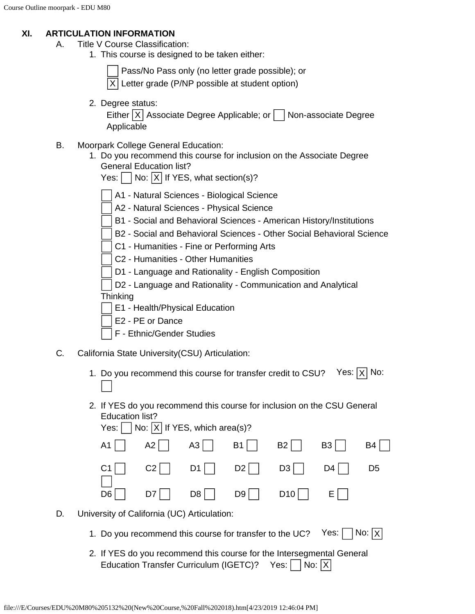### **XI. ARTICULATION INFORMATION**

- A. Title V Course Classification:
	- 1. This course is designed to be taken either:

Pass/No Pass only (no letter grade possible); or

 $|X|$  Letter grade (P/NP possible at student option)

2. Degree status:

Either  $|X|$  Associate Degree Applicable; or  $|X|$  Non-associate Degree Applicable

- B. Moorpark College General Education:
	- 1. Do you recommend this course for inclusion on the Associate Degree General Education list?

|  |  |  |  | Yes: $\vert$ $\vert$ No: $\vert$ X $\vert$ If YES, what section(s)? |
|--|--|--|--|---------------------------------------------------------------------|
|--|--|--|--|---------------------------------------------------------------------|

- A1 Natural Sciences Biological Science
- A2 Natural Sciences Physical Science
- B1 Social and Behavioral Sciences American History/Institutions
- B2 Social and Behavioral Sciences Other Social Behavioral Science
- C1 Humanities Fine or Performing Arts
- C2 Humanities Other Humanities
- D1 Language and Rationality English Composition
- D2 Language and Rationality Communication and Analytical **Thinking** 
	- E1 Health/Physical Education
- E2 PE or Dance
- F Ethnic/Gender Studies
- C. California State University(CSU) Articulation:
	- 1. Do you recommend this course for transfer credit to CSU? Yes:  $|X|$  No:
	- 2. If YES do you recommend this course for inclusion on the CSU General Education list?<br> $X \sim \Box M \cup M \times \Box$

| Yes: $ $   No: $ X $ If YES, which area(s)? |  |                                                                                                 |    |
|---------------------------------------------|--|-------------------------------------------------------------------------------------------------|----|
|                                             |  | $A1$   $A2$   $A3$   $B1$   $B2$   $B3$                                                         | B4 |
|                                             |  | $ C1 $ $ C2 $ $ D1 $ $ D2 $ $ D3 $ $ D4 $ $ D5 $                                                |    |
|                                             |  | $\overline{D6}$ $\overline{D7}$ $\overline{D8}$ $\overline{D9}$ $\overline{D10}$ $\overline{E}$ |    |

- D. University of California (UC) Articulation:
	- 1. Do you recommend this course for transfer to the UC? Yes:  $\Box$  No:  $\overline{X}$
	- 2. If YES do you recommend this course for the Intersegmental General Education Transfer Curriculum (IGETC)? Yes:  $|$   $|$  No:  $|X|$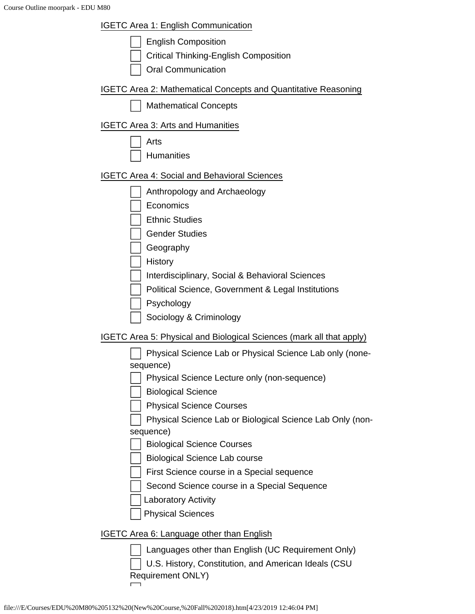| <b>IGETC Area 1: English Communication</b>                                |
|---------------------------------------------------------------------------|
| <b>English Composition</b>                                                |
| <b>Critical Thinking-English Composition</b>                              |
| <b>Oral Communication</b>                                                 |
| IGETC Area 2: Mathematical Concepts and Quantitative Reasoning            |
| <b>Mathematical Concepts</b>                                              |
| <b>IGETC Area 3: Arts and Humanities</b>                                  |
| Arts                                                                      |
| <b>Humanities</b>                                                         |
| <b>IGETC Area 4: Social and Behavioral Sciences</b>                       |
| Anthropology and Archaeology                                              |
| Economics                                                                 |
| <b>Ethnic Studies</b>                                                     |
| <b>Gender Studies</b>                                                     |
| Geography                                                                 |
| History                                                                   |
| Interdisciplinary, Social & Behavioral Sciences                           |
| Political Science, Government & Legal Institutions                        |
| Psychology                                                                |
| Sociology & Criminology                                                   |
| IGETC Area 5: Physical and Biological Sciences (mark all that apply)      |
| Physical Science Lab or Physical Science Lab only (none-                  |
| sequence)<br>Physical Science Lecture only (non-sequence)                 |
| <b>Biological Science</b>                                                 |
| <b>Physical Science Courses</b>                                           |
| Physical Science Lab or Biological Science Lab Only (non-                 |
| sequence)                                                                 |
| <b>Biological Science Courses</b>                                         |
| <b>Biological Science Lab course</b>                                      |
| First Science course in a Special sequence                                |
| Second Science course in a Special Sequence                               |
| Laboratory Activity                                                       |
| <b>Physical Sciences</b>                                                  |
| <b>IGETC Area 6: Language other than English</b>                          |
| Languages other than English (UC Requirement Only)                        |
| U.S. History, Constitution, and American Ideals (CSU<br>Requirement ONLY) |
|                                                                           |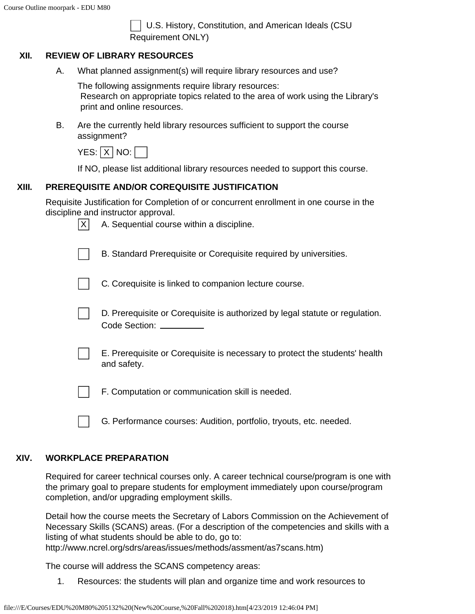U.S. History, Constitution, and American Ideals (CSU Requirement ONLY)

## **XII. REVIEW OF LIBRARY RESOURCES**

A. What planned assignment(s) will require library resources and use?

The following assignments require library resources: Research on appropriate topics related to the area of work using the Library's print and online resources.

B. Are the currently held library resources sufficient to support the course assignment?

| YES: I X I NO: |  |  |  |  |
|----------------|--|--|--|--|
|----------------|--|--|--|--|

If NO, please list additional library resources needed to support this course.

## **XIII. PREREQUISITE AND/OR COREQUISITE JUSTIFICATION**

Requisite Justification for Completion of or concurrent enrollment in one course in the discipline and instructor approval.

| X | $100$ and monactor approvant<br>A. Sequential course within a discipline.                            |
|---|------------------------------------------------------------------------------------------------------|
|   | B. Standard Prerequisite or Corequisite required by universities.                                    |
|   | C. Corequisite is linked to companion lecture course.                                                |
|   | D. Prerequisite or Corequisite is authorized by legal statute or regulation.<br>Code Section: ______ |
|   | E. Prerequisite or Corequisite is necessary to protect the students' health<br>and safety.           |
|   | F. Computation or communication skill is needed.                                                     |

G. Performance courses: Audition, portfolio, tryouts, etc. needed.

## **XIV. WORKPLACE PREPARATION**

Required for career technical courses only. A career technical course/program is one with the primary goal to prepare students for employment immediately upon course/program completion, and/or upgrading employment skills.

Detail how the course meets the Secretary of Labors Commission on the Achievement of Necessary Skills (SCANS) areas. (For a description of the competencies and skills with a listing of what students should be able to do, go to: http://www.ncrel.org/sdrs/areas/issues/methods/assment/as7scans.htm)

The course will address the SCANS competency areas:

1. Resources: the students will plan and organize time and work resources to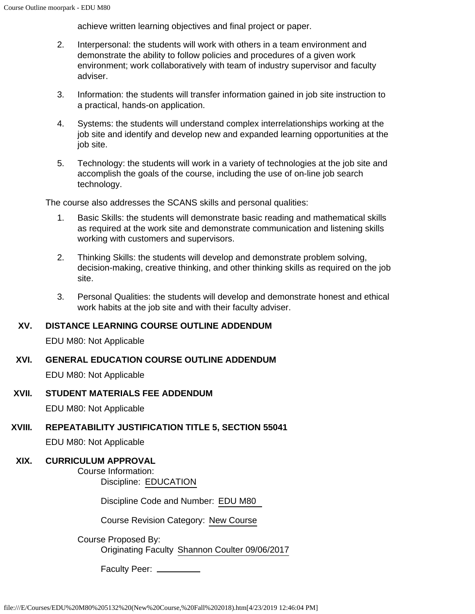achieve written learning objectives and final project or paper.

- 2. Interpersonal: the students will work with others in a team environment and demonstrate the ability to follow policies and procedures of a given work environment; work collaboratively with team of industry supervisor and faculty adviser.
- 3. Information: the students will transfer information gained in job site instruction to a practical, hands-on application.
- 4. Systems: the students will understand complex interrelationships working at the job site and identify and develop new and expanded learning opportunities at the job site.
- 5. Technology: the students will work in a variety of technologies at the job site and accomplish the goals of the course, including the use of on-line job search technology.

The course also addresses the SCANS skills and personal qualities:

- 1. Basic Skills: the students will demonstrate basic reading and mathematical skills as required at the work site and demonstrate communication and listening skills working with customers and supervisors.
- 2. Thinking Skills: the students will develop and demonstrate problem solving, decision-making, creative thinking, and other thinking skills as required on the job site.
- 3. Personal Qualities: the students will develop and demonstrate honest and ethical work habits at the job site and with their faculty adviser.

## **XV. DISTANCE LEARNING COURSE OUTLINE ADDENDUM**

EDU M80: Not Applicable

**XVI. GENERAL EDUCATION COURSE OUTLINE ADDENDUM**

EDU M80: Not Applicable

#### **XVII. STUDENT MATERIALS FEE ADDENDUM**

EDU M80: Not Applicable

## **XVIII. REPEATABILITY JUSTIFICATION TITLE 5, SECTION 55041**

EDU M80: Not Applicable

## **XIX. CURRICULUM APPROVAL**

Course Information: Discipline: EDUCATION

Discipline Code and Number: EDU M80

Course Revision Category: New Course

Course Proposed By: Originating Faculty Shannon Coulter 09/06/2017

Faculty Peer: \_\_\_\_\_\_\_\_